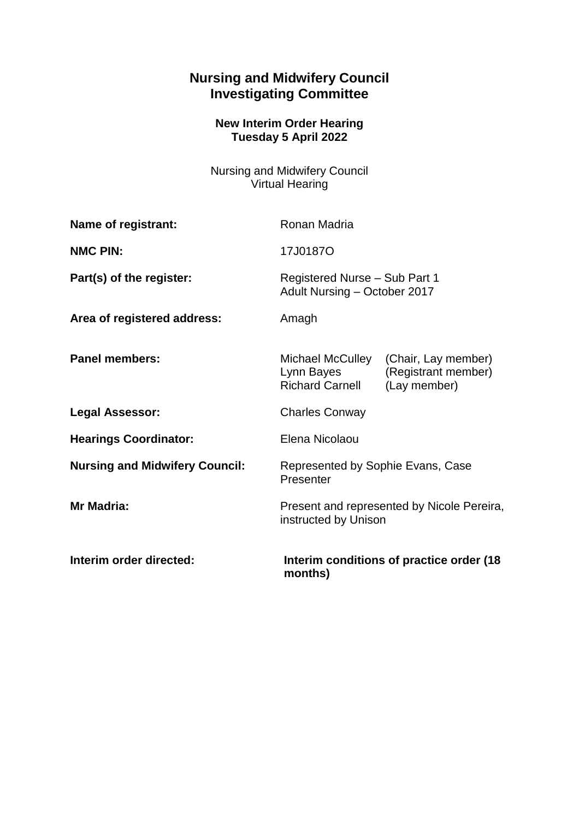## **Nursing and Midwifery Council Investigating Committee**

## **New Interim Order Hearing Tuesday 5 April 2022**

Nursing and Midwifery Council Virtual Hearing

| Name of registrant:                   | Ronan Madria                                                       |                                                            |
|---------------------------------------|--------------------------------------------------------------------|------------------------------------------------------------|
| <b>NMC PIN:</b>                       | 17J0187O                                                           |                                                            |
| Part(s) of the register:              | Registered Nurse - Sub Part 1<br>Adult Nursing - October 2017      |                                                            |
| Area of registered address:           | Amagh                                                              |                                                            |
| <b>Panel members:</b>                 | Michael McCulley<br>Lynn Bayes<br><b>Richard Carnell</b>           | (Chair, Lay member)<br>(Registrant member)<br>(Lay member) |
| <b>Legal Assessor:</b>                | <b>Charles Conway</b>                                              |                                                            |
| <b>Hearings Coordinator:</b>          | Elena Nicolaou                                                     |                                                            |
| <b>Nursing and Midwifery Council:</b> | Represented by Sophie Evans, Case<br>Presenter                     |                                                            |
| Mr Madria:                            | Present and represented by Nicole Pereira,<br>instructed by Unison |                                                            |
| Interim order directed:               | Interim conditions of practice order (18)<br>months)               |                                                            |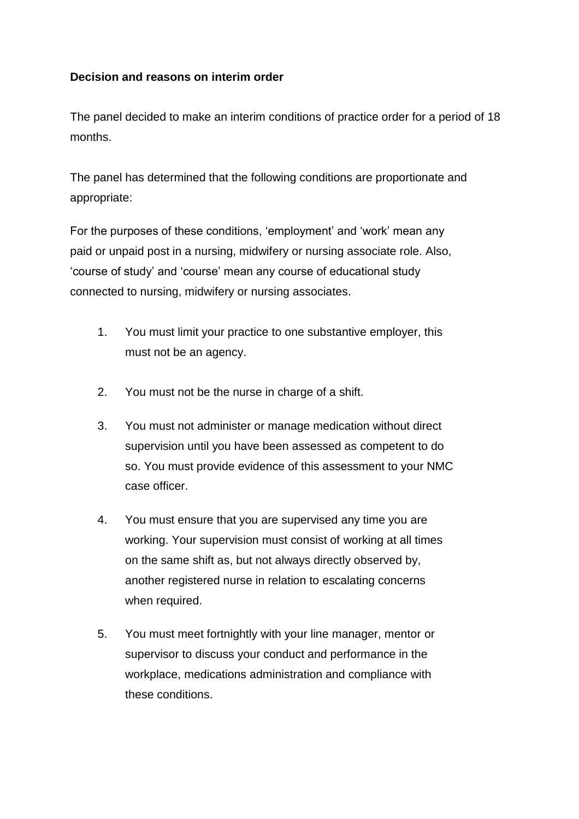## **Decision and reasons on interim order**

The panel decided to make an interim conditions of practice order for a period of 18 months.

The panel has determined that the following conditions are proportionate and appropriate:

For the purposes of these conditions, 'employment' and 'work' mean any paid or unpaid post in a nursing, midwifery or nursing associate role. Also, 'course of study' and 'course' mean any course of educational study connected to nursing, midwifery or nursing associates.

- 1. You must limit your practice to one substantive employer, this must not be an agency.
- 2. You must not be the nurse in charge of a shift.
- 3. You must not administer or manage medication without direct supervision until you have been assessed as competent to do so. You must provide evidence of this assessment to your NMC case officer.
- 4. You must ensure that you are supervised any time you are working. Your supervision must consist of working at all times on the same shift as, but not always directly observed by, another registered nurse in relation to escalating concerns when required.
- 5. You must meet fortnightly with your line manager, mentor or supervisor to discuss your conduct and performance in the workplace, medications administration and compliance with these conditions.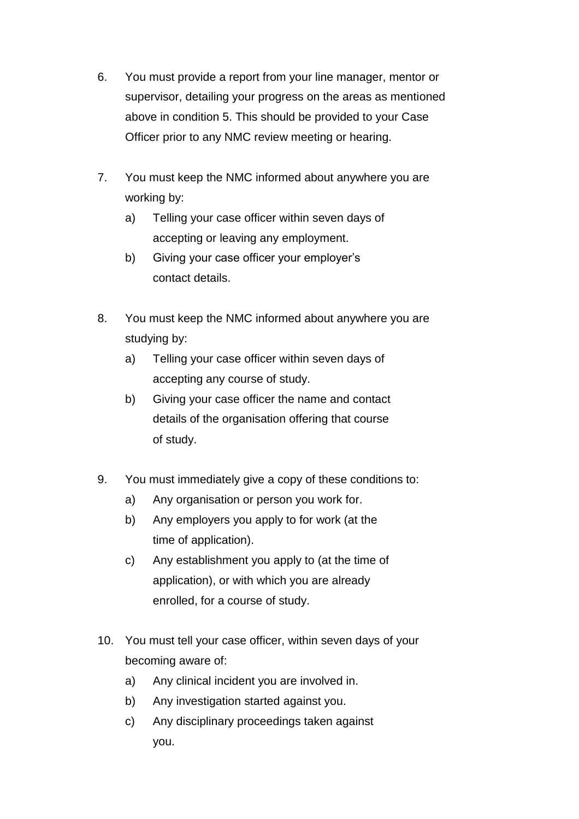- 6. You must provide a report from your line manager, mentor or supervisor, detailing your progress on the areas as mentioned above in condition 5. This should be provided to your Case Officer prior to any NMC review meeting or hearing.
- 7. You must keep the NMC informed about anywhere you are working by:
	- a) Telling your case officer within seven days of accepting or leaving any employment.
	- b) Giving your case officer your employer's contact details.
- 8. You must keep the NMC informed about anywhere you are studying by:
	- a) Telling your case officer within seven days of accepting any course of study.
	- b) Giving your case officer the name and contact details of the organisation offering that course of study.
- 9. You must immediately give a copy of these conditions to:
	- a) Any organisation or person you work for.
	- b) Any employers you apply to for work (at the time of application).
	- c) Any establishment you apply to (at the time of application), or with which you are already enrolled, for a course of study.
- 10. You must tell your case officer, within seven days of your becoming aware of:
	- a) Any clinical incident you are involved in.
	- b) Any investigation started against you.
	- c) Any disciplinary proceedings taken against you.